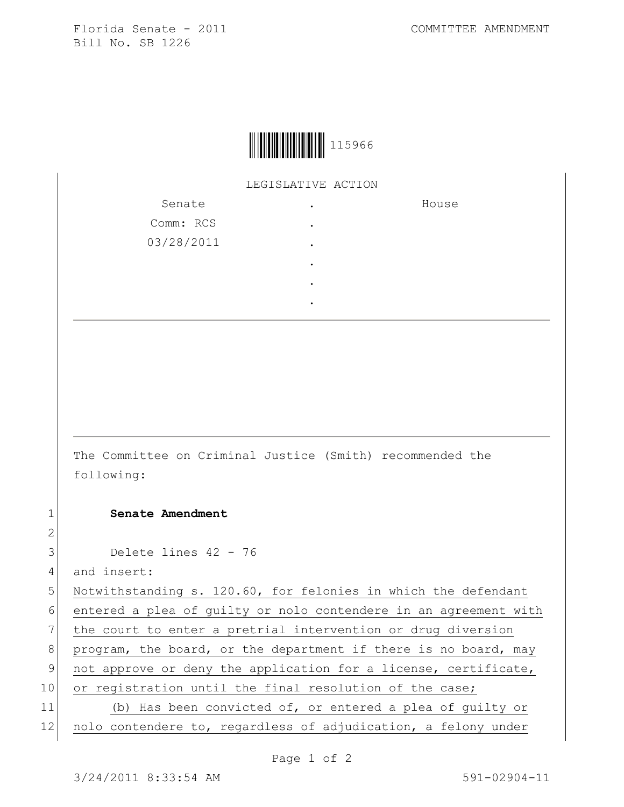

LEGISLATIVE ACTION

| Senate     | ٠         | House |
|------------|-----------|-------|
| Comm: RCS  | ٠         |       |
| 03/28/2011 | $\bullet$ |       |
|            | ٠         |       |
|            | $\bullet$ |       |
|            |           |       |

The Committee on Criminal Justice (Smith) recommended the following:

1 **Senate Amendment** 

3 Delete lines 42 - 76

4 and insert:

2

5 Notwithstanding s. 120.60, for felonies in which the defendant 6 entered a plea of guilty or nolo contendere in an agreement with 7 the court to enter a pretrial intervention or drug diversion 8 program, the board, or the department if there is no board, may 9 not approve or deny the application for a license, certificate, 10 or registration until the final resolution of the case; 11 (b) Has been convicted of, or entered a plea of guilty or 12 nolo contendere to, regardless of adjudication, a felony under